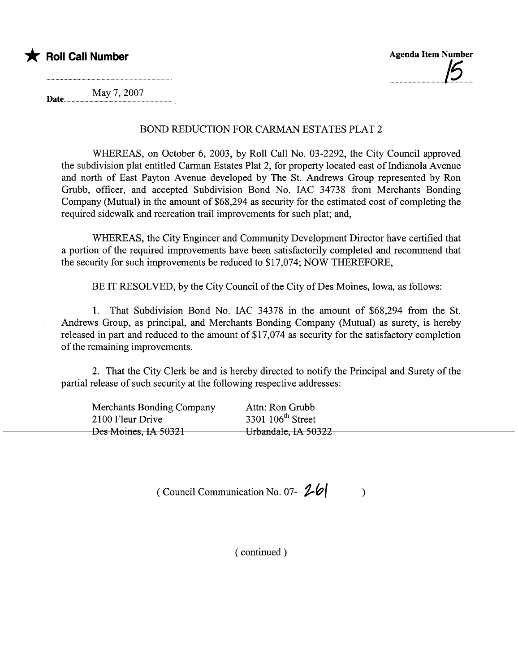



May 7, 2007 Date................................................................................

## BOND REDUCTION FOR CARAN ESTATES PLAT 2

WHEREAS, on October 6, 2003, by Roll Call No. 03-2292, the City Council approved the subdivision plat entitled Carman Estates Plat 2, for property located east of Indianola Avenue and north of East Payton Avenue developed by The St. Andrews Group represented by Ron Grubb, officer, and accepted Subdivision Bond No. IAC 34738 from Merchants Bonding Company (Mutual) in the amount of \$68,294 as security for the estimated cost of completing the required sidewalk and recreation trail improvements for such plat; and,

WHEREAS, the City Engineer and Community Development Director have certified that a portion of the required improvements have been satisfactorily completed and recommend that the security for such improvements be reduced to \$17,074; NOW THEREFORE,

BE IT RESOLVED, by the City Council of the City of Des Moines, Iowa, as follows:

1. That Subdivision Bond No. lAC 34378 in the amount of \$68,294 from the St. Andrews Group, as principal, and Merchants Bonding Company (Mutual) as surety, is hereby released in part and reduced to the amount of \$17,074 as security for the satisfactory completion of the remaining improvements.

2. That the City Clerk be and is hereby directed to notify the Principal and Surety of the parial release of such security at the following respective addresses:

| Merchants Bonding Company | Attn: Ron Grubb               |
|---------------------------|-------------------------------|
| 2100 Fleur Drive          | 3301 106 <sup>th</sup> Street |
| Des Moines, IA 50321      | Urbandale, IA 50322           |
|                           |                               |

(Council Communication No. 07- $2\cdot b$ )

( continued)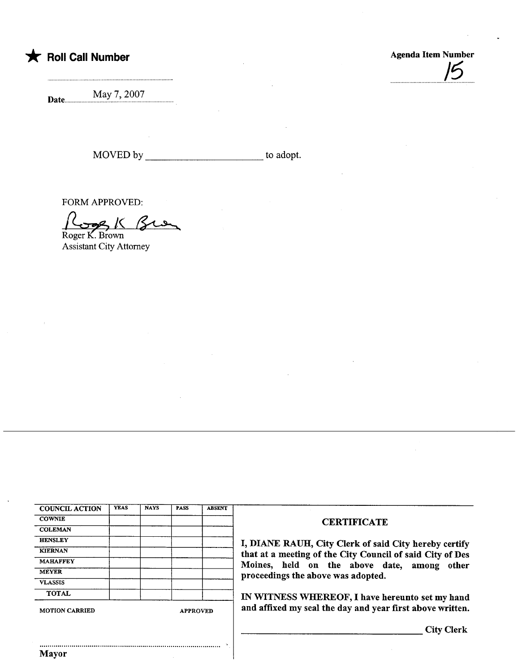# \* Roll Call Number Agenda Item Number

/6

May 7, 2007 Date.....

MOVED by to adopt.

FORM APPROVED:

FORM APPROVED:<br>Cops K. Brown

Assistant City Attorney

| <b>COUNCIL ACTION</b> | <b>YEAS</b> | <b>NAYS</b> | <b>PASS</b>     | <b>ABSENT</b> |
|-----------------------|-------------|-------------|-----------------|---------------|
| <b>COWNIE</b>         |             |             |                 |               |
| <b>COLEMAN</b>        |             |             |                 |               |
| <b>HENSLEY</b>        |             |             |                 |               |
| <b>KIERNAN</b>        |             |             |                 |               |
| <b>MAHAFFEY</b>       |             |             |                 |               |
| <b>MEYER</b>          |             |             |                 |               |
| <b>VLASSIS</b>        |             |             |                 |               |
| <b>TOTAL</b>          |             |             |                 |               |
| <b>MOTION CARRIED</b> |             |             | <b>APPROVED</b> |               |

### **CERTIFICATE**

I, DIANE RAUH, City Clerk of said City hereby certify that at a meeting of the City Council of said City of Des Moines, held on the above date, among other proceedings the above was adopted.

IN WITNESS WHEREOF, I have hereunto set my hand and affixed my seal the day and year first above written.

City Clerk

..........................................................................................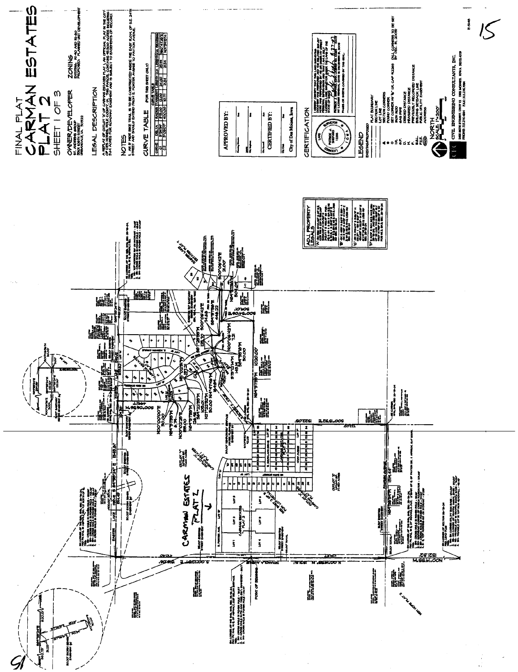